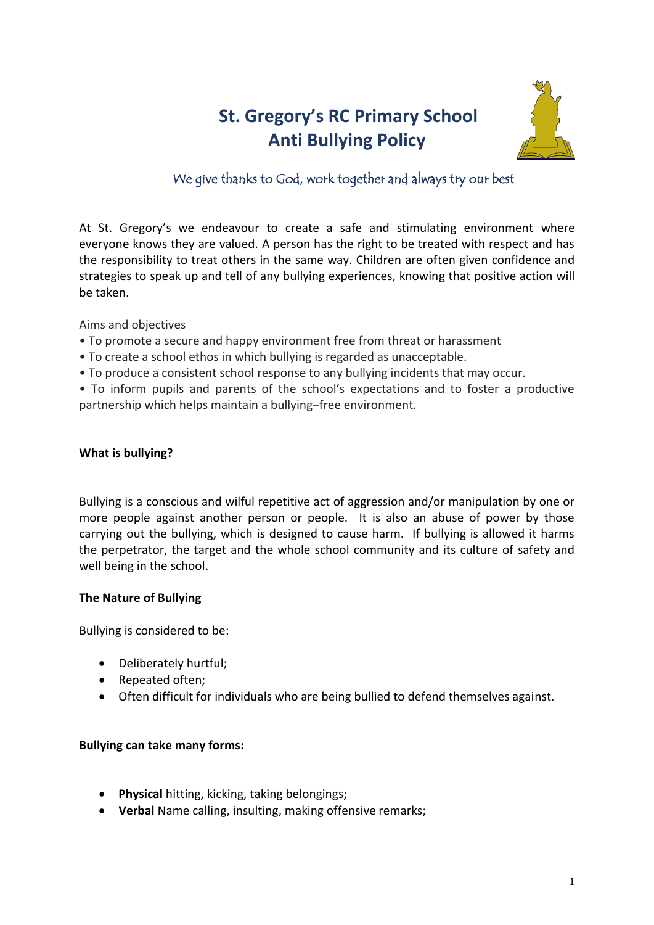# **St. Gregory's RC Primary School Anti Bullying Policy**



## We give thanks to God, work together and always try our best

At St. Gregory's we endeavour to create a safe and stimulating environment where everyone knows they are valued. A person has the right to be treated with respect and has the responsibility to treat others in the same way. Children are often given confidence and strategies to speak up and tell of any bullying experiences, knowing that positive action will be taken.

Aims and objectives

- To promote a secure and happy environment free from threat or harassment
- To create a school ethos in which bullying is regarded as unacceptable.
- To produce a consistent school response to any bullying incidents that may occur.

• To inform pupils and parents of the school's expectations and to foster a productive partnership which helps maintain a bullying–free environment.

## **What is bullying?**

Bullying is a conscious and wilful repetitive act of aggression and/or manipulation by one or more people against another person or people. It is also an abuse of power by those carrying out the bullying, which is designed to cause harm. If bullying is allowed it harms the perpetrator, the target and the whole school community and its culture of safety and well being in the school.

## **The Nature of Bullying**

Bullying is considered to be:

- Deliberately hurtful;
- Repeated often;
- Often difficult for individuals who are being bullied to defend themselves against.

## **Bullying can take many forms:**

- **Physical** hitting, kicking, taking belongings;
- **Verbal** Name calling, insulting, making offensive remarks;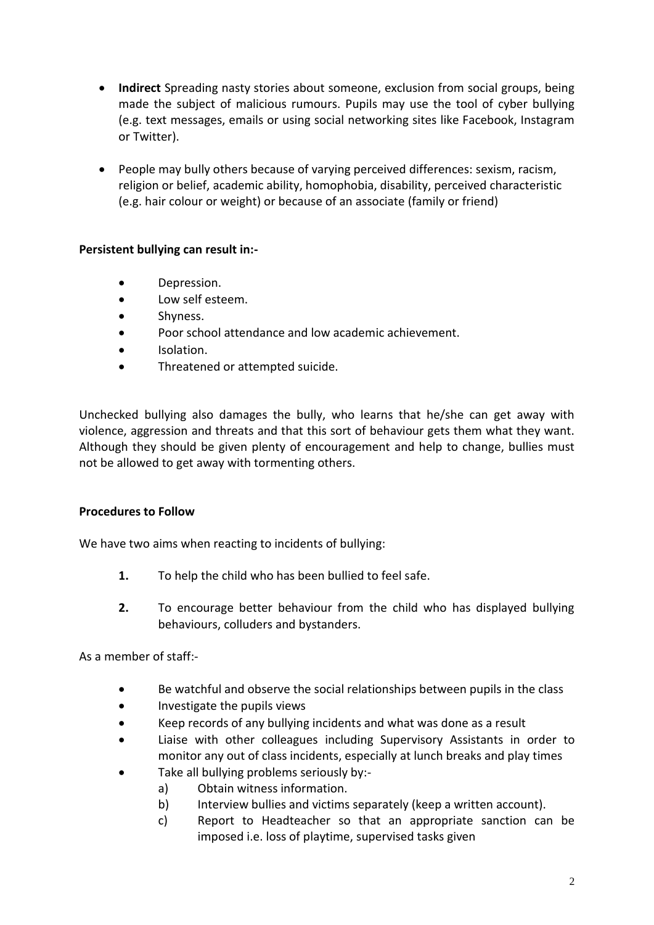- **Indirect** Spreading nasty stories about someone, exclusion from social groups, being made the subject of malicious rumours. Pupils may use the tool of cyber bullying (e.g. text messages, emails or using social networking sites like Facebook, Instagram or Twitter).
- People may bully others because of varying perceived differences: sexism, racism, religion or belief, academic ability, homophobia, disability, perceived characteristic (e.g. hair colour or weight) or because of an associate (family or friend)

## **Persistent bullying can result in:-**

- Depression.
- Low self esteem.
- Shyness.
- Poor school attendance and low academic achievement.
- Isolation.
- Threatened or attempted suicide.

Unchecked bullying also damages the bully, who learns that he/she can get away with violence, aggression and threats and that this sort of behaviour gets them what they want. Although they should be given plenty of encouragement and help to change, bullies must not be allowed to get away with tormenting others.

## **Procedures to Follow**

We have two aims when reacting to incidents of bullying:

- **1.** To help the child who has been bullied to feel safe.
- **2.** To encourage better behaviour from the child who has displayed bullying behaviours, colluders and bystanders.

As a member of staff:-

- Be watchful and observe the social relationships between pupils in the class
- Investigate the pupils views
- Keep records of any bullying incidents and what was done as a result
- Liaise with other colleagues including Supervisory Assistants in order to monitor any out of class incidents, especially at lunch breaks and play times
- Take all bullying problems seriously by:
	- a) Obtain witness information.
	- b) Interview bullies and victims separately (keep a written account).
	- c) Report to Headteacher so that an appropriate sanction can be imposed i.e. loss of playtime, supervised tasks given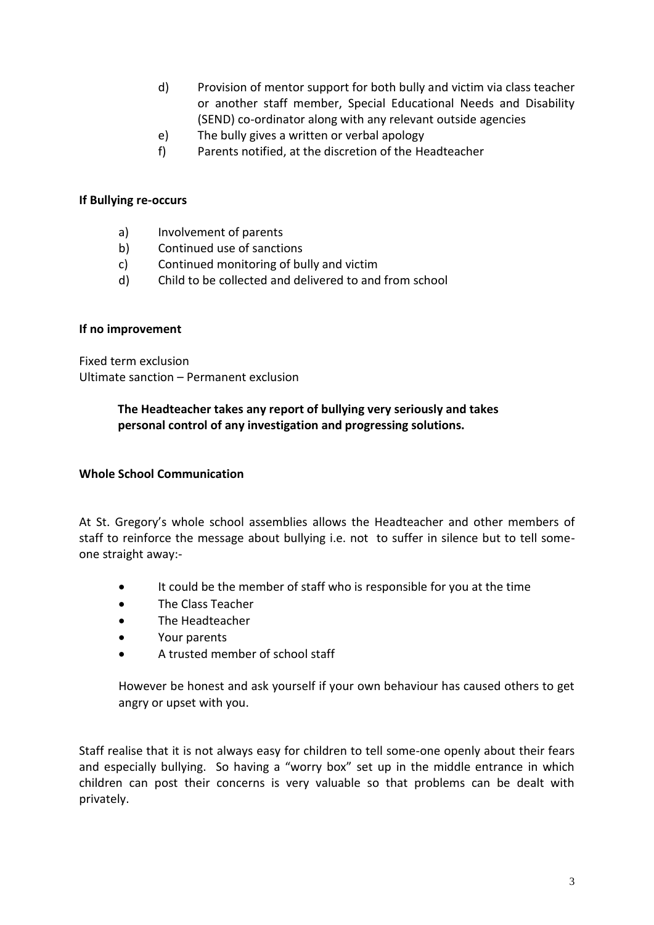- d) Provision of mentor support for both bully and victim via class teacher or another staff member, Special Educational Needs and Disability (SEND) co-ordinator along with any relevant outside agencies
- e) The bully gives a written or verbal apology
- f) Parents notified, at the discretion of the Headteacher

## **If Bullying re-occurs**

- a) Involvement of parents
- b) Continued use of sanctions
- c) Continued monitoring of bully and victim
- d) Child to be collected and delivered to and from school

## **If no improvement**

Fixed term exclusion Ultimate sanction – Permanent exclusion

## **The Headteacher takes any report of bullying very seriously and takes personal control of any investigation and progressing solutions.**

## **Whole School Communication**

At St. Gregory's whole school assemblies allows the Headteacher and other members of staff to reinforce the message about bullying i.e. not to suffer in silence but to tell someone straight away:-

- It could be the member of staff who is responsible for you at the time
- The Class Teacher
- The Headteacher
- Your parents
- A trusted member of school staff

However be honest and ask yourself if your own behaviour has caused others to get angry or upset with you.

Staff realise that it is not always easy for children to tell some-one openly about their fears and especially bullying. So having a "worry box" set up in the middle entrance in which children can post their concerns is very valuable so that problems can be dealt with privately.